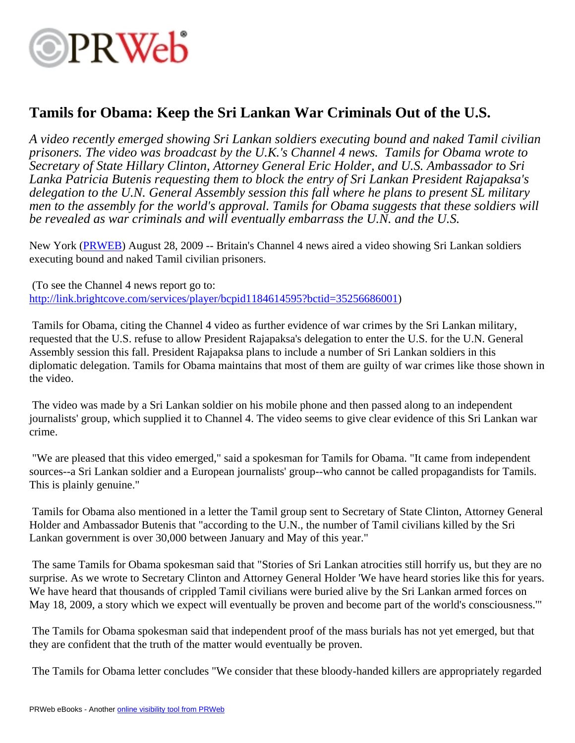# **OPRWeb**

### **Tamils for Obama: Keep the Sri Lankan War Criminals Out of the U.S.**

*A video recently emerged showing Sri Lankan soldiers executing bound and naked Tamil civilian prisoners. The video was broadcast by the U.K.'s Channel 4 news. Tamils for Obama wrote to Secretary of State Hillary Clinton, Attorney General Eric Holder, and U.S. Ambassador to Sri Lanka Patricia Butenis requesting them to block the entry of Sri Lankan President Rajapaksa's delegation to the U.N. General Assembly session this fall where he plans to present SL military men to the assembly for the world's approval. Tamils for Obama suggests that these soldiers will be revealed as war criminals and will eventually embarrass the U.N. and the U.S.*

New York [\(PRWEB\)](http://www.prweb.com) August 28, 2009 -- Britain's Channel 4 news aired a video showing Sri Lankan soldiers executing bound and naked Tamil civilian prisoners.

 (To see the Channel 4 news report go to: [http://link.brightcove.com/services/player/bcpid1184614595?bctid=35256686001\)](http://link.brightcove.com/services/player/bcpid1184614595?bctid=35256686001)

 Tamils for Obama, citing the Channel 4 video as further evidence of war crimes by the Sri Lankan military, requested that the U.S. refuse to allow President Rajapaksa's delegation to enter the U.S. for the U.N. General Assembly session this fall. President Rajapaksa plans to include a number of Sri Lankan soldiers in this diplomatic delegation. Tamils for Obama maintains that most of them are guilty of war crimes like those shown in the video.

 The video was made by a Sri Lankan soldier on his mobile phone and then passed along to an independent journalists' group, which supplied it to Channel 4. The video seems to give clear evidence of this Sri Lankan war crime.

 "We are pleased that this video emerged," said a spokesman for Tamils for Obama. "It came from independent sources--a Sri Lankan soldier and a European journalists' group--who cannot be called propagandists for Tamils. This is plainly genuine."

 Tamils for Obama also mentioned in a letter the Tamil group sent to Secretary of State Clinton, Attorney General Holder and Ambassador Butenis that "according to the U.N., the number of Tamil civilians killed by the Sri Lankan government is over 30,000 between January and May of this year."

 The same Tamils for Obama spokesman said that "Stories of Sri Lankan atrocities still horrify us, but they are no surprise. As we wrote to Secretary Clinton and Attorney General Holder 'We have heard stories like this for years. We have heard that thousands of crippled Tamil civilians were buried alive by the Sri Lankan armed forces on May 18, 2009, a story which we expect will eventually be proven and become part of the world's consciousness.'"

 The Tamils for Obama spokesman said that independent proof of the mass burials has not yet emerged, but that they are confident that the truth of the matter would eventually be proven.

The Tamils for Obama letter concludes "We consider that these bloody-handed killers are appropriately regarded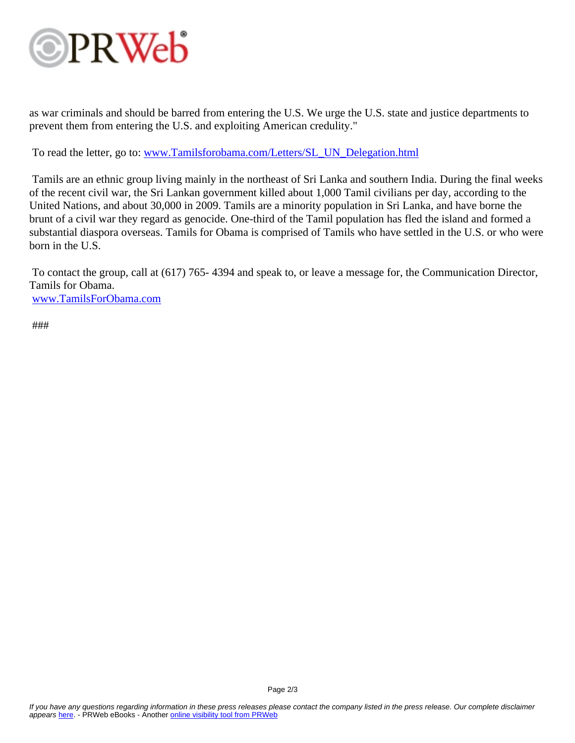# **OPRWeb**

as war criminals and should be barred from entering the U.S. We urge the U.S. state and justice departments to prevent them from entering the U.S. and exploiting American credulity."

To read the letter, go to: [www.Tamilsforobama.com/Letters/SL\\_UN\\_Delegation.html](http://www.Tamilsforobama.com/Letters/SL_UN_Delegation.html)

 Tamils are an ethnic group living mainly in the northeast of Sri Lanka and southern India. During the final weeks of the recent civil war, the Sri Lankan government killed about 1,000 Tamil civilians per day, according to the United Nations, and about 30,000 in 2009. Tamils are a minority population in Sri Lanka, and have borne the brunt of a civil war they regard as genocide. One-third of the Tamil population has fled the island and formed a substantial diaspora overseas. Tamils for Obama is comprised of Tamils who have settled in the U.S. or who were born in the U.S.

 To contact the group, call at (617) 765- 4394 and speak to, or leave a message for, the Communication Director, Tamils for Obama. [www.TamilsForObama.com](http://www.TamilsForObama.com)

###